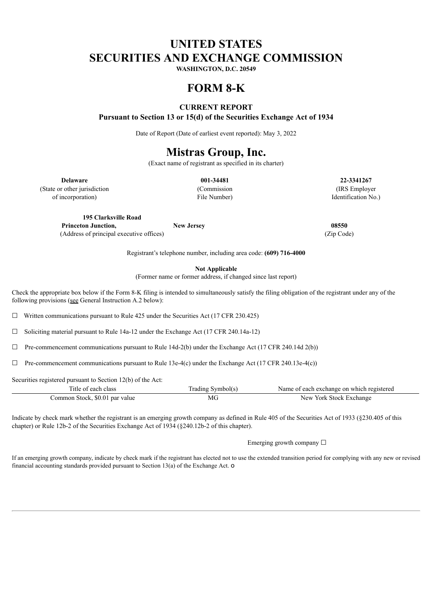# **UNITED STATES SECURITIES AND EXCHANGE COMMISSION**

**WASHINGTON, D.C. 20549**

# **FORM 8-K**

## **CURRENT REPORT**

**Pursuant to Section 13 or 15(d) of the Securities Exchange Act of 1934**

Date of Report (Date of earliest event reported): May 3, 2022

# **Mistras Group, Inc.**

(Exact name of registrant as specified in its charter)

**Delaware 001-34481 22-3341267** (State or other jurisdiction and Commission (Commission and IRS Employer)

of incorporation) File Number) Identification No.)

**195 Clarksville Road Princeton Junction, New Jersey 08550**

(Address of principal executive offices) (Zip Code)

Registrant's telephone number, including area code: **(609) 716-4000**

**Not Applicable**

(Former name or former address, if changed since last report)

Check the appropriate box below if the Form 8-K filing is intended to simultaneously satisfy the filing obligation of the registrant under any of the following provisions (see General Instruction A.2 below):

 $\Box$  Written communications pursuant to Rule 425 under the Securities Act (17 CFR 230.425)

☐ Soliciting material pursuant to Rule 14a-12 under the Exchange Act (17 CFR 240.14a-12)

 $\Box$  Pre-commencement communications pursuant to Rule 14d-2(b) under the Exchange Act (17 CFR 240.14d 2(b))

 $\Box$  Pre-commencement communications pursuant to Rule 13e-4(c) under the Exchange Act (17 CFR 240.13e-4(c))

Securities registered pursuant to Section 12(b) of the Act:

| Title of each class            | Trading Symbol(s) | Name of each exchange on which registered |
|--------------------------------|-------------------|-------------------------------------------|
| Common Stock, \$0.01 par value | МG                | New York Stock Exchange                   |

Indicate by check mark whether the registrant is an emerging growth company as defined in Rule 405 of the Securities Act of 1933 (§230.405 of this chapter) or Rule 12b-2 of the Securities Exchange Act of 1934 (§240.12b-2 of this chapter).

Emerging growth company  $\Box$ 

If an emerging growth company, indicate by check mark if the registrant has elected not to use the extended transition period for complying with any new or revised financial accounting standards provided pursuant to Section 13(a) of the Exchange Act. o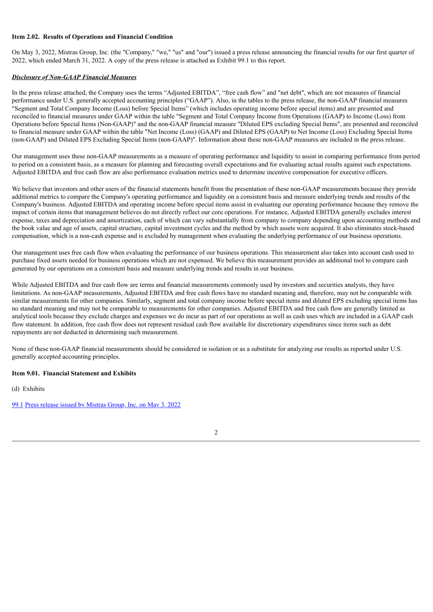#### **Item 2.02. Results of Operations and Financial Condition**

On May 3, 2022, Mistras Group, Inc. (the "Company," "we," "us" and "our") issued a press release announcing the financial results for our first quarter of 2022, which ended March 31, 2022. A copy of the press release is attached as Exhibit 99.1 to this report.

#### *Disclosure of Non-GAAP Financial Measures*

In the press release attached, the Company uses the terms "Adjusted EBITDA", "free cash flow" and "net debt", which are not measures of financial performance under U.S. generally accepted accounting principles ("GAAP"). Also, in the tables to the press release, the non-GAAP financial measures "Segment and Total Company Income (Loss) before Special Items" (which includes operating income before special items) and are presented and reconciled to financial measures under GAAP within the table "Segment and Total Company Income from Operations (GAAP) to Income (Loss) from Operations before Special Items (Non-GAAP)" and the non-GAAP financial measure "Diluted EPS excluding Special Items", are presented and reconciled to financial measure under GAAP within the table "Net Income (Loss) (GAAP) and Diluted EPS (GAAP) to Net Income (Loss) Excluding Special Items (non-GAAP) and Diluted EPS Excluding Special Items (non-GAAP)". Information about these non-GAAP measures are included in the press release.

Our management uses these non-GAAP measurements as a measure of operating performance and liquidity to assist in comparing performance from period to period on a consistent basis, as a measure for planning and forecasting overall expectations and for evaluating actual results against such expectations. Adjusted EBITDA and free cash flow are also performance evaluation metrics used to determine incentive compensation for executive officers.

We believe that investors and other users of the financial statements benefit from the presentation of these non-GAAP measurements because they provide additional metrics to compare the Company's operating performance and liquidity on a consistent basis and measure underlying trends and results of the Company's business. Adjusted EBITDA and operating income before special items assist in evaluating our operating performance because they remove the impact of certain items that management believes do not directly reflect our core operations. For instance, Adjusted EBITDA generally excludes interest expense, taxes and depreciation and amortization, each of which can vary substantially from company to company depending upon accounting methods and the book value and age of assets, capital structure, capital investment cycles and the method by which assets were acquired. It also eliminates stock-based compensation, which is a non-cash expense and is excluded by management when evaluating the underlying performance of our business operations.

Our management uses free cash flow when evaluating the performance of our business operations. This measurement also takes into account cash used to purchase fixed assets needed for business operations which are not expensed. We believe this measurement provides an additional tool to compare cash generated by our operations on a consistent basis and measure underlying trends and results in our business.

While Adjusted EBITDA and free cash flow are terms and financial measurements commonly used by investors and securities analysts, they have limitations. As non-GAAP measurements, Adjusted EBITDA and free cash flows have no standard meaning and, therefore, may not be comparable with similar measurements for other companies. Similarly, segment and total company income before special items and diluted EPS excluding special items has no standard meaning and may not be comparable to measurements for other companies. Adjusted EBITDA and free cash flow are generally limited as analytical tools because they exclude charges and expenses we do incur as part of our operations as well as cash uses which are included in a GAAP cash flow statement. In addition, free cash flow does not represent residual cash flow available for discretionary expenditures since items such as debt repayments are not deducted in determining such measurement.

None of these non-GAAP financial measurements should be considered in isolation or as a substitute for analyzing our results as reported under U.S. generally accepted accounting principles.

#### **Item 9.01. Financial Statement and Exhibits**

(d) Exhibits

[99.1](#page-3-0) Press release issued by [Mistras](#page-3-0) Group, Inc. on May 3, 2022

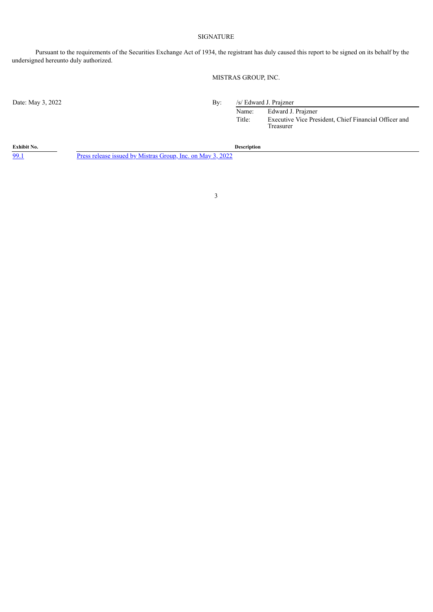#### SIGNATURE

Pursuant to the requirements of the Securities Exchange Act of 1934, the registrant has duly caused this report to be signed on its behalf by the undersigned hereunto duly authorized.

### MISTRAS GROUP, INC.

Date: May 3, 2022 By: /s/ Edward J. Prajzner

Name: Edward J. Prajzner Title: Executive Vice President, Chief Financial Officer and Treasurer

**Exhibit No. Description**

[99.1](#page-3-0) Press release issued by [Mistras](#page-3-0) Group, Inc. on May 3, 2022

3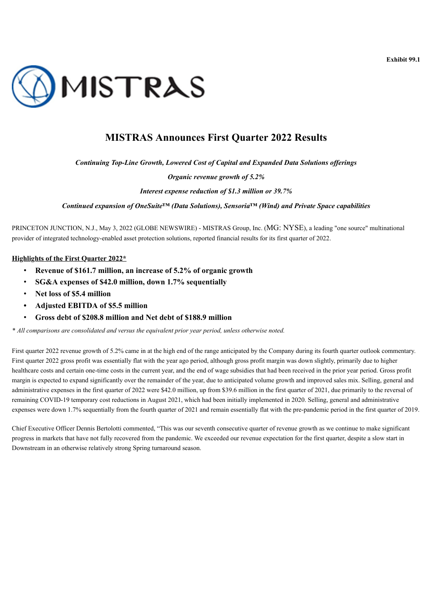

<span id="page-3-0"></span>

## **MISTRAS Announces First Quarter 2022 Results**

*Continuing Top-Line Growth, Lowered Cost of Capital and Expanded Data Solutions of erings*

*Organic revenue growth of 5.2%*

*Interest expense reduction of \$1.3 million or 39.7%*

*Continued expansion of OneSuite™ (Data Solutions), Sensoria™ (Wind) and Private Space capabilities*

PRINCETON JUNCTION, N.J., May 3, 2022 (GLOBE NEWSWIRE) - MISTRAS Group, Inc. (MG: NYSE), a leading "one source" multinational provider of integrated technology-enabled asset protection solutions, reported financial results for its first quarter of 2022.

### **Highlights of the First Quarter 2022\***

- **Revenue of \$161.7 million, an increase of 5.2% of organic growth**
- **SG&A expenses of \$42.0 million, down 1.7% sequentially**
- **Net loss of \$5.4 million**
- **• Adjusted EBITDA of \$5.5 million**
- **Gross debt of \$208.8 million and Net debt of \$188.9 million**

*\* All comparisons are consolidated and versus the equivalent prior year period, unless otherwise noted.*

First quarter 2022 revenue growth of 5.2% came in at the high end of the range anticipated by the Company during its fourth quarter outlook commentary. First quarter 2022 gross profit was essentially flat with the year ago period, although gross profit margin was down slightly, primarily due to higher healthcare costs and certain one-time costs in the current year, and the end of wage subsidies that had been received in the prior year period. Gross profit margin is expected to expand significantly over the remainder of the year, due to anticipated volume growth and improved sales mix. Selling, general and administrative expenses in the first quarter of 2022 were \$42.0 million, up from \$39.6 million in the first quarter of 2021, due primarily to the reversal of remaining COVID-19 temporary cost reductions in August 2021, which had been initially implemented in 2020. Selling, general and administrative expenses were down 1.7% sequentially from the fourth quarter of 2021 and remain essentially flat with the pre-pandemic period in the first quarter of 2019.

Chief Executive Officer Dennis Bertolotti commented, "This was our seventh consecutive quarter of revenue growth as we continue to make significant progress in markets that have not fully recovered from the pandemic. We exceeded our revenue expectation for the first quarter, despite a slow start in Downstream in an otherwise relatively strong Spring turnaround season.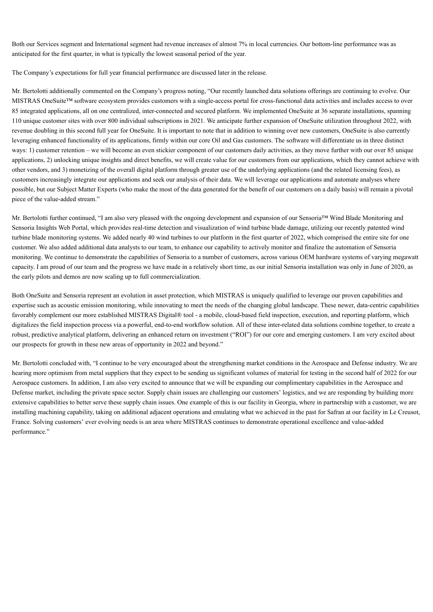Both our Services segment and International segment had revenue increases of almost 7% in local currencies. Our bottom-line performance was as anticipated for the first quarter, in what is typically the lowest seasonal period of the year.

The Company's expectations for full year financial performance are discussed later in the release.

Mr. Bertolotti additionally commented on the Company's progress noting, "Our recently launched data solutions offerings are continuing to evolve. Our MISTRAS OneSuite™ software ecosystem provides customers with a single-access portal for cross-functional data activities and includes access to over 85 integrated applications, all on one centralized, inter-connected and secured platform. We implemented OneSuite at 36 separate installations, spanning 110 unique customer sites with over 800 individual subscriptions in 2021. We anticipate further expansion of OneSuite utilization throughout 2022, with revenue doubling in this second full year for OneSuite. It is important to note that in addition to winning over new customers, OneSuite is also currently leveraging enhanced functionality of its applications, firmly within our core Oil and Gas customers. The software will differentiate us in three distinct ways: 1) customer retention – we will become an even stickier component of our customers daily activities, as they move further with our over 85 unique applications, 2) unlocking unique insights and direct benefits, we will create value for our customers from our applications, which they cannot achieve with other vendors, and 3) monetizing of the overall digital platform through greater use of the underlying applications (and the related licensing fees), as customers increasingly integrate our applications and seek our analysis of their data. We will leverage our applications and automate analyses where possible, but our Subject Matter Experts (who make the most of the data generated for the benefit of our customers on a daily basis) will remain a pivotal piece of the value-added stream."

Mr. Bertolotti further continued, "I am also very pleased with the ongoing development and expansion of our Sensoria™ Wind Blade Monitoring and Sensoria Insights Web Portal, which provides real-time detection and visualization of wind turbine blade damage, utilizing our recently patented wind turbine blade monitoring systems. We added nearly 40 wind turbines to our platform in the first quarter of 2022, which comprised the entire site for one customer. We also added additional data analysts to our team, to enhance our capability to actively monitor and finalize the automation of Sensoria monitoring. We continue to demonstrate the capabilities of Sensoria to a number of customers, across various OEM hardware systems of varying megawatt capacity. I am proud of our team and the progress we have made in a relatively short time, as our initial Sensoria installation was only in June of 2020, as the early pilots and demos are now scaling up to full commercialization.

Both OneSuite and Sensoria represent an evolution in asset protection, which MISTRAS is uniquely qualified to leverage our proven capabilities and expertise such as acoustic emission monitoring, while innovating to meet the needs of the changing global landscape. These newer, data-centric capabilities favorably complement our more established MISTRAS Digital® tool - a mobile, cloud-based field inspection, execution, and reporting platform, which digitalizes the field inspection process via a powerful, end-to-end workflow solution. All of these inter-related data solutions combine together, to create a robust, predictive analytical platform, delivering an enhanced return on investment ("ROI") for our core and emerging customers. I am very excited about our prospects for growth in these new areas of opportunity in 2022 and beyond."

Mr. Bertolotti concluded with, "I continue to be very encouraged about the strengthening market conditions in the Aerospace and Defense industry. We are hearing more optimism from metal suppliers that they expect to be sending us significant volumes of material for testing in the second half of 2022 for our Aerospace customers. In addition, I am also very excited to announce that we will be expanding our complimentary capabilities in the Aerospace and Defense market, including the private space sector. Supply chain issues are challenging our customers' logistics, and we are responding by building more extensive capabilities to better serve these supply chain issues. One example of this is our facility in Georgia, where in partnership with a customer, we are installing machining capability, taking on additional adjacent operations and emulating what we achieved in the past for Safran at our facility in Le Creusot, France. Solving customers' ever evolving needs is an area where MISTRAS continues to demonstrate operational excellence and value-added performance."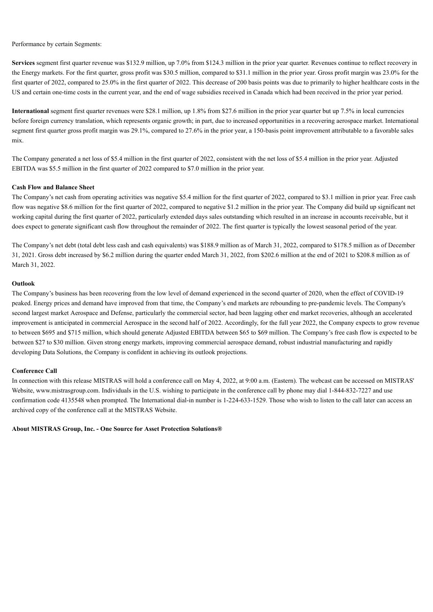Performance by certain Segments:

**Services** segment first quarter revenue was \$132.9 million, up 7.0% from \$124.3 million in the prior year quarter. Revenues continue to reflect recovery in the Energy markets. For the first quarter, gross profit was \$30.5 million, compared to \$31.1 million in the prior year. Gross profit margin was 23.0% for the first quarter of 2022, compared to 25.0% in the first quarter of 2022. This decrease of 200 basis points was due to primarily to higher healthcare costs in the US and certain one-time costs in the current year, and the end of wage subsidies received in Canada which had been received in the prior year period.

**International** segment first quarter revenues were \$28.1 million, up 1.8% from \$27.6 million in the prior year quarter but up 7.5% in local currencies before foreign currency translation, which represents organic growth; in part, due to increased opportunities in a recovering aerospace market. International segment first quarter gross profit margin was 29.1%, compared to 27.6% in the prior year, a 150-basis point improvement attributable to a favorable sales mix.

The Company generated a net loss of \$5.4 million in the first quarter of 2022, consistent with the net loss of \$5.4 million in the prior year. Adjusted EBITDA was \$5.5 million in the first quarter of 2022 compared to \$7.0 million in the prior year.

#### **Cash Flow and Balance Sheet**

The Company's net cash from operating activities was negative \$5.4 million for the first quarter of 2022, compared to \$3.1 million in prior year. Free cash flow was negative \$8.6 million for the first quarter of 2022, compared to negative \$1.2 million in the prior year. The Company did build up significant net working capital during the first quarter of 2022, particularly extended days sales outstanding which resulted in an increase in accounts receivable, but it does expect to generate significant cash flow throughout the remainder of 2022. The first quarter is typically the lowest seasonal period of the year.

The Company's net debt (total debt less cash and cash equivalents) was \$188.9 million as of March 31, 2022, compared to \$178.5 million as of December 31, 2021. Gross debt increased by \$6.2 million during the quarter ended March 31, 2022, from \$202.6 million at the end of 2021 to \$208.8 million as of March 31, 2022.

#### **Outlook**

The Company's business has been recovering from the low level of demand experienced in the second quarter of 2020, when the effect of COVID-19 peaked. Energy prices and demand have improved from that time, the Company's end markets are rebounding to pre-pandemic levels. The Company's second largest market Aerospace and Defense, particularly the commercial sector, had been lagging other end market recoveries, although an accelerated improvement is anticipated in commercial Aerospace in the second half of 2022. Accordingly, for the full year 2022, the Company expects to grow revenue to between \$695 and \$715 million, which should generate Adjusted EBITDA between \$65 to \$69 million. The Company's free cash flow is expected to be between \$27 to \$30 million. Given strong energy markets, improving commercial aerospace demand, robust industrial manufacturing and rapidly developing Data Solutions, the Company is confident in achieving its outlook projections.

#### **Conference Call**

In connection with this release MISTRAS will hold a conference call on May 4, 2022, at 9:00 a.m. (Eastern). The webcast can be accessed on MISTRAS' Website, www.mistrasgroup.com. Individuals in the U.S. wishing to participate in the conference call by phone may dial 1-844-832-7227 and use confirmation code 4135548 when prompted. The International dial-in number is 1-224-633-1529. Those who wish to listen to the call later can access an archived copy of the conference call at the MISTRAS Website.

**About MISTRAS Group, Inc. - One Source for Asset Protection Solutions®**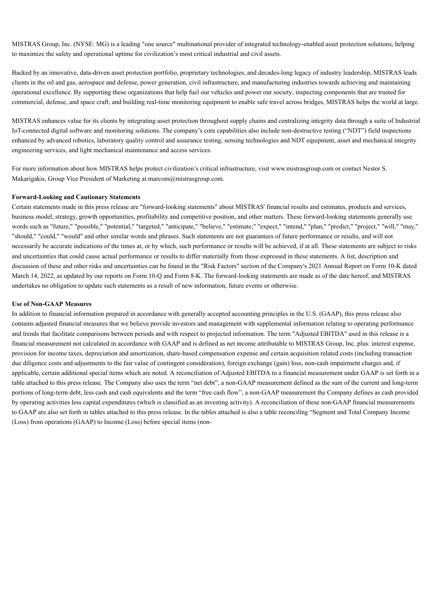MISTRAS Group, Inc. (NYSE: MG) is a leading "one source" multinational provider of integrated technology-enabled asset protection solutions, helping to maximize the safety and operational uptime for civilization's most critical industrial and civil assets.

Backed by an innovative, data-driven asset protection portfolio, proprietary technologies, and decades-long legacy of industry leadership, MISTRAS leads clients in the oil and gas, aerospace and defense, power generation, civil infrastructure, and manufacturing industries towards achieving and maintaining operational excellence. By supporting these organizations that help fuel our vehicles and power our society; inspecting components that are trusted for commercial, defense, and space craft; and building real-time monitoring equipment to enable safe travel across bridges, MISTRAS helps the world at large.

MISTRAS enhances value for its clients by integrating asset protection throughout supply chains and centralizing integrity data through a suite of Industrial IoT-connected digital software and monitoring solutions. The company's core capabilities also include non-destructive testing ("NDT") field inspections enhanced by advanced robotics, laboratory quality control and assurance testing, sensing technologies and NDT equipment, asset and mechanical integrity engineering services, and light mechanical maintenance and access services.

For more information about how MISTRAS helps protect civilization's critical infrastructure, visit www.mistrasgroup.com or contact Nestor S. Makarigakis, Group Vice President of Marketing at marcom@mistrasgroup.com.

#### **Forward-Looking and Cautionary Statements**

Certain statements made in this press release are "forward-looking statements" about MISTRAS' financial results and estimates, products and services, business model, strategy, growth opportunities, profitability and competitive position, and other matters. These forward-looking statements generally use words such as "future," "possible," "potential," "targeted," "anticipate," "believe," "estimate," "expect," "intend," "plan," "predict," "project," "will," "may," "should," "could," "would" and other similar words and phrases. Such statements are not guarantees of future performance or results, and will not necessarily be accurate indications of the times at, or by which, such performance or results will be achieved, if at all. These statements are subject to risks and uncertainties that could cause actual performance or results to differ materially from those expressed in these statements. A list, description and discussion of these and other risks and uncertainties can be found in the "Risk Factors" section of the Company's 2021 Annual Report on Form 10-K dated March 14, 2022, as updated by our reports on Form 10-Q and Form 8-K. The forward-looking statements are made as of the date hereof, and MISTRAS undertakes no obligation to update such statements as a result of new information, future events or otherwise.

#### **Use of Non-GAAP Measures**

In addition to financial information prepared in accordance with generally accepted accounting principles in the U.S. (GAAP), this press release also contains adjusted financial measures that we believe provide investors and management with supplemental information relating to operating performance and trends that facilitate comparisons between periods and with respect to projected information. The term "Adjusted EBITDA" used in this release is a financial measurement not calculated in accordance with GAAP and is defined as net income attributable to MISTRAS Group, Inc. plus: interest expense, provision for income taxes, depreciation and amortization, share-based compensation expense and certain acquisition related costs (including transaction due diligence costs and adjustments to the fair value of contingent consideration), foreign exchange (gain) loss, non-cash impairment charges and, if applicable, certain additional special items which are noted. A reconciliation of Adjusted EBITDA to a financial measurement under GAAP is set forth in a table attached to this press release. The Company also uses the term "net debt", a non-GAAP measurement defined as the sum of the current and long-term portions of long-term debt, less cash and cash equivalents and the term "free cash flow", a non-GAAP measurement the Company defines as cash provided by operating activities less capital expenditures (which is classified as an investing activity). A reconciliation of these non-GAAP financial measurements to GAAP are also set forth in tables attached to this press release. In the tables attached is also a table reconciling "Segment and Total Company Income (Loss) from operations (GAAP) to Income (Loss) before special items (non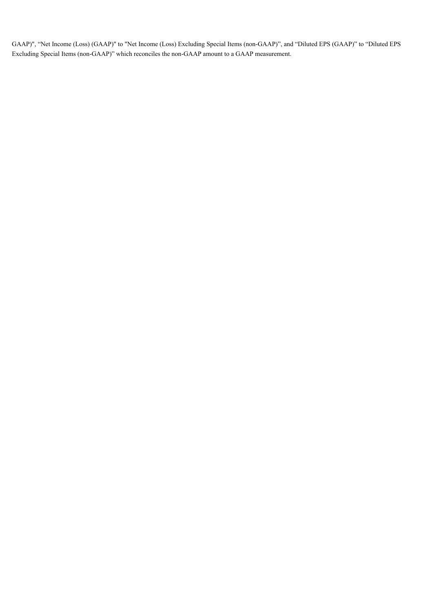GAAP)", "Net Income (Loss) (GAAP)" to "Net Income (Loss) Excluding Special Items (non-GAAP)", and "Diluted EPS (GAAP)" to "Diluted EPS Excluding Special Items (non-GAAP)" which reconciles the non-GAAP amount to a GAAP measurement.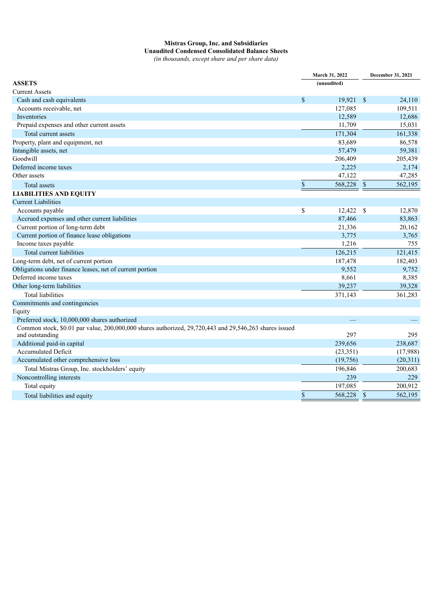## **Mistras Group, Inc. and Subsidiaries Unaudited Condensed Consolidated Balance Sheets**

*(in thousands, except share and per share data)*

| (unaudited)<br><b>Current Assets</b><br>$\mathbb{S}$<br>19,921 \$<br>Cash and cash equivalents<br>24,110<br>Accounts receivable, net<br>127,085<br>109,511<br>Inventories<br>12,589<br>12,686<br>Prepaid expenses and other current assets<br>11,709<br>15,031<br>Total current assets<br>171,304<br>161,338<br>83,689<br>86,578<br>57,479<br>59,381<br>Goodwill<br>206,409<br>205,439<br>2,225<br>2,174<br>47,122<br>47,285<br>$\mathbb{S}$<br>$\mathcal{S}$<br>568,228<br>562,195<br>Total assets<br>\$<br>12,422<br>Accounts payable<br>- \$<br>12,870<br>Accrued expenses and other current liabilities<br>87,466<br>83,863<br>Current portion of long-term debt<br>21,336<br>20,162<br>Current portion of finance lease obligations<br>3,775<br>3,765<br>Income taxes payable<br>1,216<br>755<br>Total current liabilities<br>121,415<br>126,215<br>182,403<br>187,478<br>9,552<br>9,752<br>8,661<br>8,385<br>39,237<br>39,328<br><b>Total liabilities</b><br>371,143<br>361,283<br>Preferred stock, 10,000,000 shares authorized<br>Common stock, \$0.01 par value, 200,000,000 shares authorized, 29,720,443 and 29,546,263 shares issued<br>297<br>295<br>and outstanding<br>Additional paid-in capital<br>239,656<br>238,687<br><b>Accumulated Deficit</b><br>(23,351)<br>(17,988)<br>Accumulated other comprehensive loss<br>(19,756)<br>(20,311)<br>196,846<br>Total Mistras Group, Inc. stockholders' equity<br>200,683<br>Noncontrolling interests<br>239<br>229<br>197,085<br>Total equity<br>200,912<br>$\$$<br>568,228<br>$\mathcal{S}$<br>562,195<br>Total liabilities and equity |                                                          | March 31, 2022 |  | December 31, 2021 |
|----------------------------------------------------------------------------------------------------------------------------------------------------------------------------------------------------------------------------------------------------------------------------------------------------------------------------------------------------------------------------------------------------------------------------------------------------------------------------------------------------------------------------------------------------------------------------------------------------------------------------------------------------------------------------------------------------------------------------------------------------------------------------------------------------------------------------------------------------------------------------------------------------------------------------------------------------------------------------------------------------------------------------------------------------------------------------------------------------------------------------------------------------------------------------------------------------------------------------------------------------------------------------------------------------------------------------------------------------------------------------------------------------------------------------------------------------------------------------------------------------------------------------------------------------------------------------------------------------|----------------------------------------------------------|----------------|--|-------------------|
|                                                                                                                                                                                                                                                                                                                                                                                                                                                                                                                                                                                                                                                                                                                                                                                                                                                                                                                                                                                                                                                                                                                                                                                                                                                                                                                                                                                                                                                                                                                                                                                                    | <b>ASSETS</b>                                            |                |  |                   |
|                                                                                                                                                                                                                                                                                                                                                                                                                                                                                                                                                                                                                                                                                                                                                                                                                                                                                                                                                                                                                                                                                                                                                                                                                                                                                                                                                                                                                                                                                                                                                                                                    |                                                          |                |  |                   |
|                                                                                                                                                                                                                                                                                                                                                                                                                                                                                                                                                                                                                                                                                                                                                                                                                                                                                                                                                                                                                                                                                                                                                                                                                                                                                                                                                                                                                                                                                                                                                                                                    |                                                          |                |  |                   |
|                                                                                                                                                                                                                                                                                                                                                                                                                                                                                                                                                                                                                                                                                                                                                                                                                                                                                                                                                                                                                                                                                                                                                                                                                                                                                                                                                                                                                                                                                                                                                                                                    |                                                          |                |  |                   |
|                                                                                                                                                                                                                                                                                                                                                                                                                                                                                                                                                                                                                                                                                                                                                                                                                                                                                                                                                                                                                                                                                                                                                                                                                                                                                                                                                                                                                                                                                                                                                                                                    |                                                          |                |  |                   |
|                                                                                                                                                                                                                                                                                                                                                                                                                                                                                                                                                                                                                                                                                                                                                                                                                                                                                                                                                                                                                                                                                                                                                                                                                                                                                                                                                                                                                                                                                                                                                                                                    |                                                          |                |  |                   |
|                                                                                                                                                                                                                                                                                                                                                                                                                                                                                                                                                                                                                                                                                                                                                                                                                                                                                                                                                                                                                                                                                                                                                                                                                                                                                                                                                                                                                                                                                                                                                                                                    |                                                          |                |  |                   |
|                                                                                                                                                                                                                                                                                                                                                                                                                                                                                                                                                                                                                                                                                                                                                                                                                                                                                                                                                                                                                                                                                                                                                                                                                                                                                                                                                                                                                                                                                                                                                                                                    | Property, plant and equipment, net                       |                |  |                   |
|                                                                                                                                                                                                                                                                                                                                                                                                                                                                                                                                                                                                                                                                                                                                                                                                                                                                                                                                                                                                                                                                                                                                                                                                                                                                                                                                                                                                                                                                                                                                                                                                    | Intangible assets, net                                   |                |  |                   |
|                                                                                                                                                                                                                                                                                                                                                                                                                                                                                                                                                                                                                                                                                                                                                                                                                                                                                                                                                                                                                                                                                                                                                                                                                                                                                                                                                                                                                                                                                                                                                                                                    |                                                          |                |  |                   |
|                                                                                                                                                                                                                                                                                                                                                                                                                                                                                                                                                                                                                                                                                                                                                                                                                                                                                                                                                                                                                                                                                                                                                                                                                                                                                                                                                                                                                                                                                                                                                                                                    | Deferred income taxes                                    |                |  |                   |
|                                                                                                                                                                                                                                                                                                                                                                                                                                                                                                                                                                                                                                                                                                                                                                                                                                                                                                                                                                                                                                                                                                                                                                                                                                                                                                                                                                                                                                                                                                                                                                                                    | Other assets                                             |                |  |                   |
|                                                                                                                                                                                                                                                                                                                                                                                                                                                                                                                                                                                                                                                                                                                                                                                                                                                                                                                                                                                                                                                                                                                                                                                                                                                                                                                                                                                                                                                                                                                                                                                                    |                                                          |                |  |                   |
|                                                                                                                                                                                                                                                                                                                                                                                                                                                                                                                                                                                                                                                                                                                                                                                                                                                                                                                                                                                                                                                                                                                                                                                                                                                                                                                                                                                                                                                                                                                                                                                                    | <b>LIABILITIES AND EQUITY</b>                            |                |  |                   |
|                                                                                                                                                                                                                                                                                                                                                                                                                                                                                                                                                                                                                                                                                                                                                                                                                                                                                                                                                                                                                                                                                                                                                                                                                                                                                                                                                                                                                                                                                                                                                                                                    | <b>Current Liabilities</b>                               |                |  |                   |
|                                                                                                                                                                                                                                                                                                                                                                                                                                                                                                                                                                                                                                                                                                                                                                                                                                                                                                                                                                                                                                                                                                                                                                                                                                                                                                                                                                                                                                                                                                                                                                                                    |                                                          |                |  |                   |
|                                                                                                                                                                                                                                                                                                                                                                                                                                                                                                                                                                                                                                                                                                                                                                                                                                                                                                                                                                                                                                                                                                                                                                                                                                                                                                                                                                                                                                                                                                                                                                                                    |                                                          |                |  |                   |
|                                                                                                                                                                                                                                                                                                                                                                                                                                                                                                                                                                                                                                                                                                                                                                                                                                                                                                                                                                                                                                                                                                                                                                                                                                                                                                                                                                                                                                                                                                                                                                                                    |                                                          |                |  |                   |
|                                                                                                                                                                                                                                                                                                                                                                                                                                                                                                                                                                                                                                                                                                                                                                                                                                                                                                                                                                                                                                                                                                                                                                                                                                                                                                                                                                                                                                                                                                                                                                                                    |                                                          |                |  |                   |
|                                                                                                                                                                                                                                                                                                                                                                                                                                                                                                                                                                                                                                                                                                                                                                                                                                                                                                                                                                                                                                                                                                                                                                                                                                                                                                                                                                                                                                                                                                                                                                                                    |                                                          |                |  |                   |
|                                                                                                                                                                                                                                                                                                                                                                                                                                                                                                                                                                                                                                                                                                                                                                                                                                                                                                                                                                                                                                                                                                                                                                                                                                                                                                                                                                                                                                                                                                                                                                                                    |                                                          |                |  |                   |
|                                                                                                                                                                                                                                                                                                                                                                                                                                                                                                                                                                                                                                                                                                                                                                                                                                                                                                                                                                                                                                                                                                                                                                                                                                                                                                                                                                                                                                                                                                                                                                                                    | Long-term debt, net of current portion                   |                |  |                   |
|                                                                                                                                                                                                                                                                                                                                                                                                                                                                                                                                                                                                                                                                                                                                                                                                                                                                                                                                                                                                                                                                                                                                                                                                                                                                                                                                                                                                                                                                                                                                                                                                    | Obligations under finance leases, net of current portion |                |  |                   |
|                                                                                                                                                                                                                                                                                                                                                                                                                                                                                                                                                                                                                                                                                                                                                                                                                                                                                                                                                                                                                                                                                                                                                                                                                                                                                                                                                                                                                                                                                                                                                                                                    | Deferred income taxes                                    |                |  |                   |
|                                                                                                                                                                                                                                                                                                                                                                                                                                                                                                                                                                                                                                                                                                                                                                                                                                                                                                                                                                                                                                                                                                                                                                                                                                                                                                                                                                                                                                                                                                                                                                                                    | Other long-term liabilities                              |                |  |                   |
|                                                                                                                                                                                                                                                                                                                                                                                                                                                                                                                                                                                                                                                                                                                                                                                                                                                                                                                                                                                                                                                                                                                                                                                                                                                                                                                                                                                                                                                                                                                                                                                                    |                                                          |                |  |                   |
|                                                                                                                                                                                                                                                                                                                                                                                                                                                                                                                                                                                                                                                                                                                                                                                                                                                                                                                                                                                                                                                                                                                                                                                                                                                                                                                                                                                                                                                                                                                                                                                                    | Commitments and contingencies                            |                |  |                   |
|                                                                                                                                                                                                                                                                                                                                                                                                                                                                                                                                                                                                                                                                                                                                                                                                                                                                                                                                                                                                                                                                                                                                                                                                                                                                                                                                                                                                                                                                                                                                                                                                    | Equity                                                   |                |  |                   |
|                                                                                                                                                                                                                                                                                                                                                                                                                                                                                                                                                                                                                                                                                                                                                                                                                                                                                                                                                                                                                                                                                                                                                                                                                                                                                                                                                                                                                                                                                                                                                                                                    |                                                          |                |  |                   |
|                                                                                                                                                                                                                                                                                                                                                                                                                                                                                                                                                                                                                                                                                                                                                                                                                                                                                                                                                                                                                                                                                                                                                                                                                                                                                                                                                                                                                                                                                                                                                                                                    |                                                          |                |  |                   |
|                                                                                                                                                                                                                                                                                                                                                                                                                                                                                                                                                                                                                                                                                                                                                                                                                                                                                                                                                                                                                                                                                                                                                                                                                                                                                                                                                                                                                                                                                                                                                                                                    |                                                          |                |  |                   |
|                                                                                                                                                                                                                                                                                                                                                                                                                                                                                                                                                                                                                                                                                                                                                                                                                                                                                                                                                                                                                                                                                                                                                                                                                                                                                                                                                                                                                                                                                                                                                                                                    |                                                          |                |  |                   |
|                                                                                                                                                                                                                                                                                                                                                                                                                                                                                                                                                                                                                                                                                                                                                                                                                                                                                                                                                                                                                                                                                                                                                                                                                                                                                                                                                                                                                                                                                                                                                                                                    |                                                          |                |  |                   |
|                                                                                                                                                                                                                                                                                                                                                                                                                                                                                                                                                                                                                                                                                                                                                                                                                                                                                                                                                                                                                                                                                                                                                                                                                                                                                                                                                                                                                                                                                                                                                                                                    |                                                          |                |  |                   |
|                                                                                                                                                                                                                                                                                                                                                                                                                                                                                                                                                                                                                                                                                                                                                                                                                                                                                                                                                                                                                                                                                                                                                                                                                                                                                                                                                                                                                                                                                                                                                                                                    |                                                          |                |  |                   |
|                                                                                                                                                                                                                                                                                                                                                                                                                                                                                                                                                                                                                                                                                                                                                                                                                                                                                                                                                                                                                                                                                                                                                                                                                                                                                                                                                                                                                                                                                                                                                                                                    |                                                          |                |  |                   |
|                                                                                                                                                                                                                                                                                                                                                                                                                                                                                                                                                                                                                                                                                                                                                                                                                                                                                                                                                                                                                                                                                                                                                                                                                                                                                                                                                                                                                                                                                                                                                                                                    |                                                          |                |  |                   |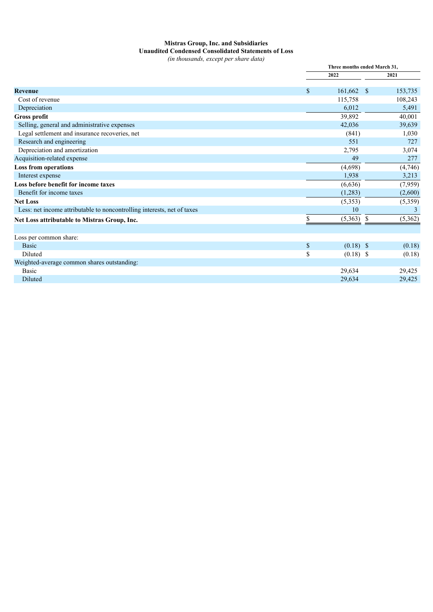## **Mistras Group, Inc. and Subsidiaries Unaudited Condensed Consolidated Statements of Loss**

*(in thousands, except per share data)*

|                                                                         |    | Three months ended March 31, |    |         |
|-------------------------------------------------------------------------|----|------------------------------|----|---------|
|                                                                         |    | 2022                         |    | 2021    |
| <b>Revenue</b>                                                          | \$ | $161,662$ \$                 |    | 153,735 |
| Cost of revenue                                                         |    | 115,758                      |    | 108,243 |
| Depreciation                                                            |    | 6,012                        |    | 5,491   |
| Gross profit                                                            |    | 39,892                       |    | 40,001  |
| Selling, general and administrative expenses                            |    | 42,036                       |    | 39,639  |
| Legal settlement and insurance recoveries, net                          |    | (841)                        |    | 1,030   |
| Research and engineering                                                |    | 551                          |    | 727     |
| Depreciation and amortization                                           |    | 2,795                        |    | 3,074   |
| Acquisition-related expense                                             |    | 49                           |    | 277     |
| <b>Loss from operations</b>                                             |    | (4,698)                      |    | (4,746) |
| Interest expense                                                        |    | 1,938                        |    | 3,213   |
| Loss before benefit for income taxes                                    |    | (6,636)                      |    | (7,959) |
| Benefit for income taxes                                                |    | (1,283)                      |    | (2,600) |
| <b>Net Loss</b>                                                         |    | (5,353)                      |    | (5,359) |
| Less: net income attributable to noncontrolling interests, net of taxes |    | 10                           |    | 3       |
| Net Loss attributable to Mistras Group, Inc.                            | S  | (5,363)                      | -S | (5,362) |
| Loss per common share:                                                  |    |                              |    |         |
| <b>Basic</b>                                                            | \$ | $(0.18)$ \$                  |    | (0.18)  |
| Diluted                                                                 | \$ | $(0.18)$ \$                  |    | (0.18)  |
| Weighted-average common shares outstanding:                             |    |                              |    |         |
| Basic                                                                   |    | 29,634                       |    | 29,425  |
| Diluted                                                                 |    | 29.634                       |    | 29,425  |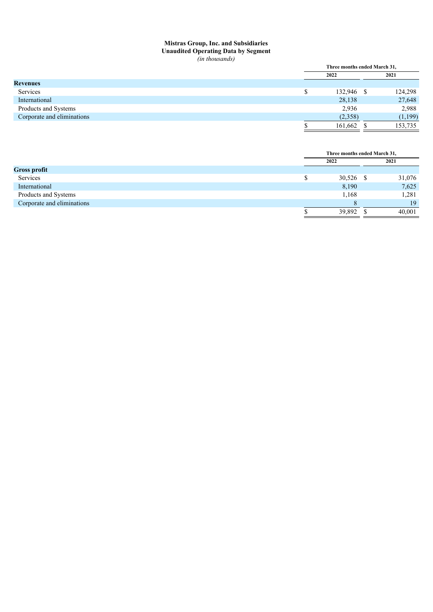## **Mistras Group, Inc. and Subsidiaries Unaudited Operating Data by Segment**

|                            |  | Three months ended March 31, |  |          |  |  |
|----------------------------|--|------------------------------|--|----------|--|--|
|                            |  | 2022                         |  | 2021     |  |  |
| <b>Revenues</b>            |  |                              |  |          |  |  |
| Services                   |  | 132,946 \$                   |  | 124,298  |  |  |
| International              |  | 28,138                       |  | 27,648   |  |  |
| Products and Systems       |  | 2,936                        |  | 2,988    |  |  |
| Corporate and eliminations |  | (2,358)                      |  | (1, 199) |  |  |
|                            |  | 161,662                      |  | 153,735  |  |  |
|                            |  |                              |  |          |  |  |

|                            | Three months ended March 31, |  |        |  |
|----------------------------|------------------------------|--|--------|--|
|                            | 2022                         |  | 2021   |  |
| <b>Gross profit</b>        |                              |  |        |  |
| Services                   | 30,526 \$                    |  | 31,076 |  |
| International              | 8,190                        |  | 7,625  |  |
| Products and Systems       | 1,168                        |  | 1,281  |  |
| Corporate and eliminations |                              |  | 19     |  |
|                            | 39,892                       |  | 40,001 |  |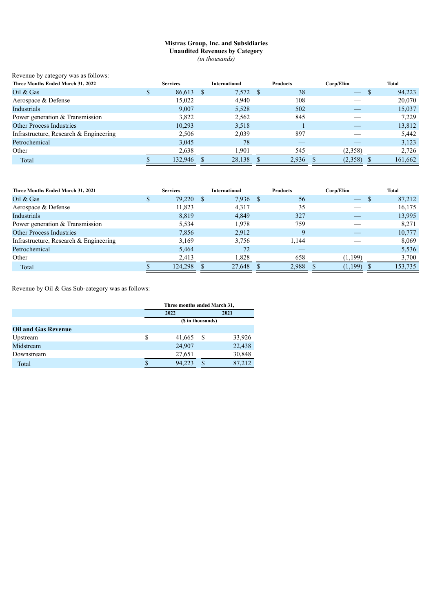### **Mistras Group, Inc. and Subsidiaries Unaudited Revenues by Category** *(in thousands)*

| Revenue by category was as follows:    |   |                 |              |                      |      |                 |           |   |         |
|----------------------------------------|---|-----------------|--------------|----------------------|------|-----------------|-----------|---|---------|
| Three Months Ended March 31, 2022      |   | <b>Services</b> |              | <b>International</b> |      | <b>Products</b> | Corp/Elim |   | Total   |
| Oil $&$ Gas                            | D | 86,613          | <sup>S</sup> | 7,572                | - \$ | 38              |           | S | 94,223  |
| Aerospace & Defense                    |   | 15.022          |              | 4,940                |      | 108             |           |   | 20,070  |
| Industrials                            |   | 9.007           |              | 5,528                |      | 502             |           |   | 15,037  |
| Power generation & Transmission        |   | 3,822           |              | 2,562                |      | 845             |           |   | 7,229   |
| <b>Other Process Industries</b>        |   | 10,293          |              | 3,518                |      |                 |           |   | 13,812  |
| Infrastructure, Research & Engineering |   | 2,506           |              | 2,039                |      | 897             |           |   | 5,442   |
| Petrochemical                          |   | 3,045           |              | 78                   |      | __              |           |   | 3,123   |
| Other                                  |   | 2,638           |              | 1.901                |      | 545             | (2,358)   |   | 2,726   |
| Total                                  |   | 132.946         |              | 28,138               |      | 2,936           | (2,358)   |   | 161,662 |

| Three Months Ended March 31, 2021        | <b>Services</b> | <b>International</b> |    | <b>Products</b> | Corp/Elim |         | Total   |
|------------------------------------------|-----------------|----------------------|----|-----------------|-----------|---------|---------|
| Oil $&$ Gas                              | 79,220          | 7,936                | -S | 56              |           |         | 87,212  |
| Aerospace & Defense                      | 11,823          | 4,317                |    | 35              |           |         | 16,175  |
| Industrials                              | 8,819           | 4,849                |    | 327             |           |         | 13,995  |
| Power generation & Transmission          | 5.534           | 1.978                |    | 759             |           |         | 8.271   |
| <b>Other Process Industries</b>          | 7,856           | 2,912                |    | 9               |           |         | 10,777  |
| Infrastructure, Research $&$ Engineering | 3,169           | 3.756                |    | 1.144           |           |         | 8,069   |
| Petrochemical                            | 5.464           | 72                   |    |                 |           |         | 5,536   |
| Other                                    | 2,413           | 1.828                |    | 658             |           | (1,199) | 3,700   |
| Total                                    | 124,298         | 27,648               |    | 2,988           |           | (1,199) | 153,735 |

Revenue by Oil & Gas Sub-category was as follows:

|                            |   | Three months ended March 31, |   |        |  |  |  |
|----------------------------|---|------------------------------|---|--------|--|--|--|
|                            |   | 2022                         |   | 2021   |  |  |  |
|                            |   | (\$ in thousands)            |   |        |  |  |  |
| <b>Oil and Gas Revenue</b> |   |                              |   |        |  |  |  |
| Upstream                   | S | 41,665                       | S | 33,926 |  |  |  |
| Midstream                  |   | 24,907                       |   | 22,438 |  |  |  |
| Downstream                 |   | 27,651                       |   | 30,848 |  |  |  |
| Total                      |   | 94,223                       | ¢ | 87,212 |  |  |  |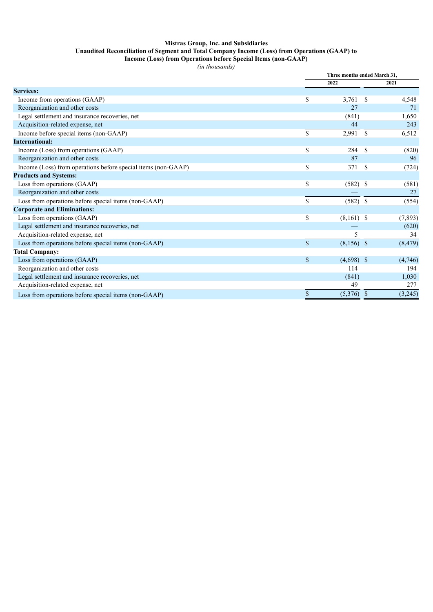## **Mistras Group, Inc. and Subsidiaries Unaudited Reconciliation of Segment and Total Company Income (Loss) from Operations (GAAP) to**

**Income (Loss) from Operations before Special Items (non-GAAP)**

|                                                               |              | Three months ended March 31, |      |          |  |
|---------------------------------------------------------------|--------------|------------------------------|------|----------|--|
|                                                               |              | 2022                         |      | 2021     |  |
| <b>Services:</b>                                              |              |                              |      |          |  |
| Income from operations (GAAP)                                 | \$           | 3,761                        | - \$ | 4,548    |  |
| Reorganization and other costs                                |              | 27                           |      | 71       |  |
| Legal settlement and insurance recoveries, net                |              | (841)                        |      | 1,650    |  |
| Acquisition-related expense, net                              |              | 44                           |      | 243      |  |
| Income before special items (non-GAAP)                        | \$           | 2,991                        | - \$ | 6,512    |  |
| <b>International:</b>                                         |              |                              |      |          |  |
| Income (Loss) from operations (GAAP)                          | \$           | 284                          | -\$  | (820)    |  |
| Reorganization and other costs                                |              | 87                           |      | 96       |  |
| Income (Loss) from operations before special items (non-GAAP) | \$           | 371                          | - \$ | (724)    |  |
| <b>Products and Systems:</b>                                  |              |                              |      |          |  |
| Loss from operations (GAAP)                                   | \$           | $(582)$ \$                   |      | (581)    |  |
| Reorganization and other costs                                |              |                              |      | 27       |  |
| Loss from operations before special items (non-GAAP)          | \$           | $(582)$ \$                   |      | (554)    |  |
| <b>Corporate and Eliminations:</b>                            |              |                              |      |          |  |
| Loss from operations (GAAP)                                   | \$           | $(8,161)$ \$                 |      | (7, 893) |  |
| Legal settlement and insurance recoveries, net                |              |                              |      | (620)    |  |
| Acquisition-related expense, net                              |              | 5                            |      | 34       |  |
| Loss from operations before special items (non-GAAP)          | $\mathbf S$  | $(8,156)$ \$                 |      | (8, 479) |  |
| <b>Total Company:</b>                                         |              |                              |      |          |  |
| Loss from operations (GAAP)                                   | $\mathbb{S}$ | $(4,698)$ \$                 |      | (4,746)  |  |
| Reorganization and other costs                                |              | 114                          |      | 194      |  |
| Legal settlement and insurance recoveries, net                |              | (841)                        |      | 1,030    |  |
| Acquisition-related expense, net                              |              | 49                           |      | 277      |  |
| Loss from operations before special items (non-GAAP)          | \$           | (5,376)                      | -S   | (3,245)  |  |
|                                                               |              |                              |      |          |  |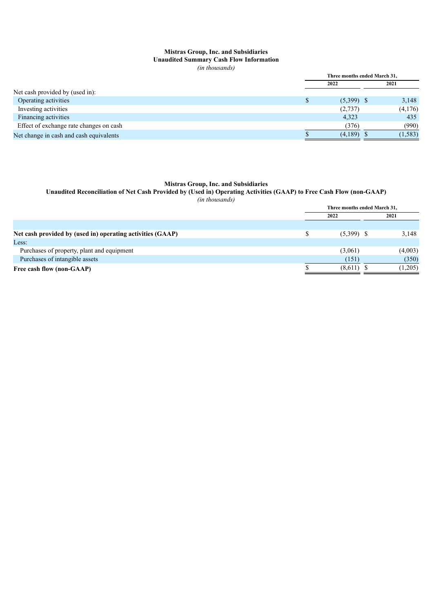### **Mistras Group, Inc. and Subsidiaries Unaudited Summary Cash Flow Information**

*(in thousands)*

|                                         | Three months ended March 31, |              |  |          |
|-----------------------------------------|------------------------------|--------------|--|----------|
|                                         |                              | 2022         |  | 2021     |
| Net cash provided by (used in):         |                              |              |  |          |
| Operating activities                    |                              | $(5,399)$ \$ |  | 3,148    |
| Investing activities                    |                              | (2,737)      |  | (4,176)  |
| Financing activities                    |                              | 4,323        |  | 435      |
| Effect of exchange rate changes on cash |                              | (376)        |  | (990)    |
| Net change in cash and cash equivalents |                              | $(4,189)$ \$ |  | (1, 583) |

#### **Mistras Group, Inc. and Subsidiaries**

#### Unaudited Reconciliation of Net Cash Provided by (Used in) Operating Activities (GAAP) to Free Cash Flow (non-GAAP)

|                                                            | Three months ended March 31, |              |  |         |  |
|------------------------------------------------------------|------------------------------|--------------|--|---------|--|
|                                                            |                              | 2022         |  | 2021    |  |
|                                                            |                              |              |  |         |  |
| Net cash provided by (used in) operating activities (GAAP) |                              | $(5,399)$ \$ |  | 3,148   |  |
| Less:                                                      |                              |              |  |         |  |
| Purchases of property, plant and equipment                 |                              | (3,061)      |  | (4,003) |  |
| Purchases of intangible assets                             |                              | (151)        |  | (350)   |  |
| Free cash flow (non-GAAP)                                  |                              | (8,611)      |  | (1,205) |  |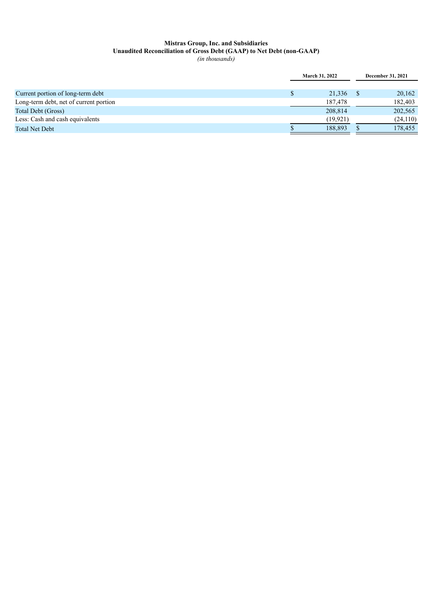#### **Mistras Group, Inc. and Subsidiaries Unaudited Reconciliation of Gross Debt (GAAP) to Net Debt (non-GAAP)** *(in thousands)*

|                                        | <b>March 31, 2022</b> | December 31, 2021 |  |
|----------------------------------------|-----------------------|-------------------|--|
|                                        |                       |                   |  |
| Current portion of long-term debt      | 21,336                | 20,162            |  |
| Long-term debt, net of current portion | 187.478               | 182,403           |  |
| Total Debt (Gross)                     | 208.814               | 202,565           |  |
| Less: Cash and cash equivalents        | (19.921)              | (24, 110)         |  |
| Total Net Debt                         | 188.893               | 178,455           |  |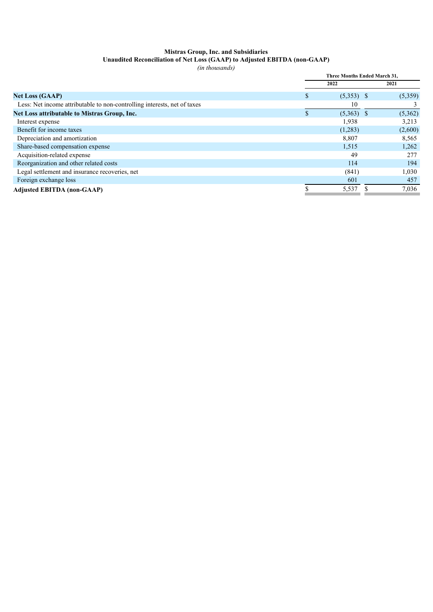## **Mistras Group, Inc. and Subsidiaries**

#### **Unaudited Reconciliation of Net Loss (GAAP) to Adjusted EBITDA (non-GAAP)**

|                                                                          | Three Months Ended March 31. |              |  |         |
|--------------------------------------------------------------------------|------------------------------|--------------|--|---------|
|                                                                          |                              | 2022         |  | 2021    |
| <b>Net Loss (GAAP)</b>                                                   | ъ                            | $(5,353)$ \$ |  | (5,359) |
| Less: Net income attributable to non-controlling interests, net of taxes |                              | 10           |  |         |
| Net Loss attributable to Mistras Group, Inc.                             |                              | $(5,363)$ \$ |  | (5,362) |
| Interest expense                                                         |                              | 1,938        |  | 3,213   |
| Benefit for income taxes                                                 |                              | (1,283)      |  | (2,600) |
| Depreciation and amortization                                            |                              | 8,807        |  | 8,565   |
| Share-based compensation expense                                         |                              | 1,515        |  | 1,262   |
| Acquisition-related expense                                              |                              | 49           |  | 277     |
| Reorganization and other related costs                                   |                              | 114          |  | 194     |
| Legal settlement and insurance recoveries, net                           |                              | (841)        |  | 1,030   |
| Foreign exchange loss                                                    |                              | 601          |  | 457     |
| <b>Adjusted EBITDA (non-GAAP)</b>                                        |                              | 5,537        |  | 7,036   |